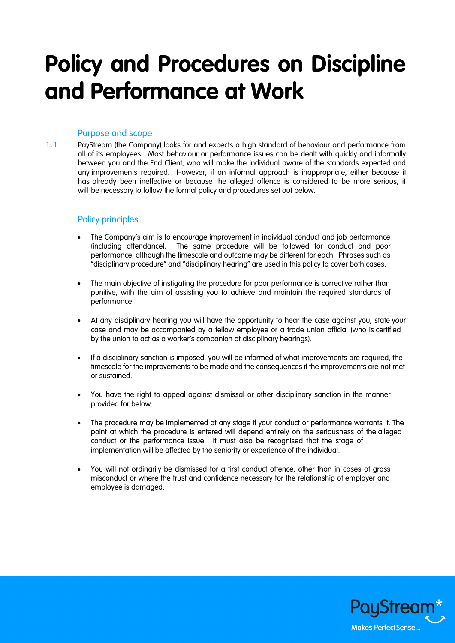# **Policy and Procedures on Discipline and Performance at Work**

# Purpose and scope

1.1 PayStream (the Company) looks for and expects a high standard of behaviour and performance from all of its employees. Most behaviour or performance issues can be dealt with quickly and informally between you and the End Client, who will make the individual aware of the standards expected and any improvements required. However, if an informal approach is inappropriate, either because it has already been ineffective or because the alleged offence is considered to be more serious, it will be necessary to follow the formal policy and procedures set out below.

## Policy principles

- The Company's aim is to encourage improvement in individual conduct and job performance (including attendance). The same procedure will be followed for conduct and poor performance, although the timescale and outcome may be different for each. Phrases such as "disciplinary procedure" and "disciplinary hearing" are used in this policy to cover both cases.
- The main objective of instigating the procedure for poor performance is corrective rather than punitive, with the aim of assisting you to achieve and maintain the required standards of performance.
- At any disciplinary hearing you will have the opportunity to hear the case against you, state your case and may be accompanied by a fellow employee or a trade union official (who is certified by the union to act as a worker's companion at disciplinary hearings).
- If a disciplinary sanction is imposed, you will be informed of what improvements are required, the timescale for the improvements to be made and the consequences if the improvements are not met or sustained.
- You have the right to appeal against dismissal or other disciplinary sanction in the manner provided for below.
- The procedure may be implemented at any stage if your conduct or performance warrants it. The point at which the procedure is entered will depend entirely on the seriousness of the alleged conduct or the performance issue. It must also be recognised that the stage of implementation will be affected by the seniority or experience of the individual.
- You will not ordinarily be dismissed for a first conduct offence, other than in cases of gross misconduct or where the trust and confidence necessary for the relationship of employer and employee is damaged.

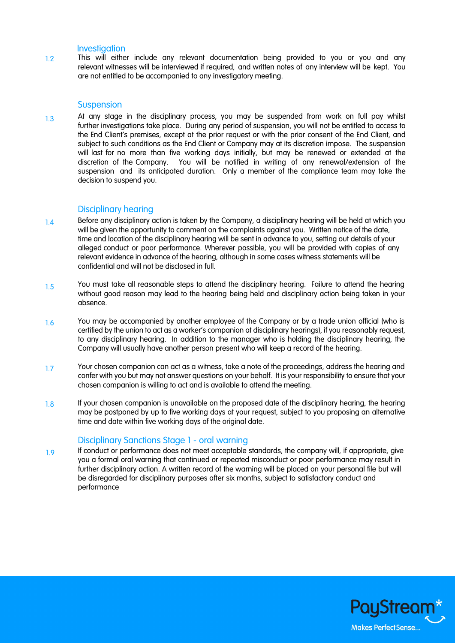#### **Investigation**

1.2 This will either include any relevant documentation being provided to you or you and any relevant witnesses will be interviewed if required, and written notes of any interview will be kept. You are not entitled to be accompanied to any investigatory meeting.

#### **Suspension**

1.3 At any stage in the disciplinary process, you may be suspended from work on full pay whilst further investigations take place. During any period of suspension, you will not be entitled to access to the End Client's premises, except at the prior request or with the prior consent of the End Client, and subject to such conditions as the End Client or Company may at its discretion impose. The suspension will last for no more than five working days initially, but may be renewed or extended at the discretion of the Company. You will be notified in writing of any renewal/extension of the suspension and its anticipated duration. Only a member of the compliance team may take the decision to suspend you.

## Disciplinary hearing

- 1.4 Before any disciplinary action is taken by the Company, a disciplinary hearing will be held at which you will be given the opportunity to comment on the complaints against you. Written notice of the date, time and location of the disciplinary hearing will be sent in advance to you, setting out details of your alleged conduct or poor performance. Wherever possible, you will be provided with copies of any relevant evidence in advance of the hearing, although in some cases witness statements will be confidential and will not be disclosed in full.
- 1.5 You must take all reasonable steps to attend the disciplinary hearing. Failure to attend the hearing without good reason may lead to the hearing being held and disciplinary action being taken in your absence.
- 1.6 You may be accompanied by another employee of the Company or by a trade union official (who is certified by the union to act as a worker's companion at disciplinary hearings), if you reasonably request, to any disciplinary hearing. In addition to the manager who is holding the disciplinary hearing, the Company will usually have another person present who will keep a record of the hearing.
- 1.7 Your chosen companion can act as a witness, take a note of the proceedings, address the hearing and confer with you but may not answer questions on your behalf. It is your responsibility to ensure that your chosen companion is willing to act and is available to attend the meeting.
- 1.8 If your chosen companion is unavailable on the proposed date of the disciplinary hearing, the hearing may be postponed by up to five working days at your request, subject to you proposing an alternative time and date within five working days of the original date.

## Disciplinary Sanctions Stage 1 - oral warning

If conduct or performance does not meet acceptable standards, the company will, if appropriate, give you a formal oral warning that continued or repeated misconduct or poor performance may result in further disciplinary action. A written record of the warning will be placed on your personal file but will be disregarded for disciplinary purposes after six months, subject to satisfactory conduct and performance 1.9

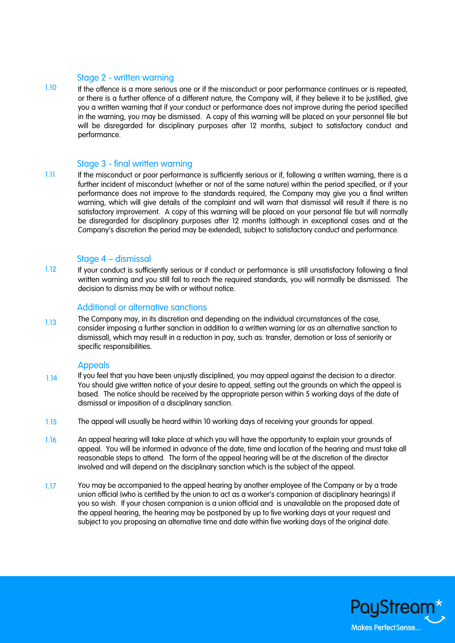#### Stage 2 - written warning

1.10 If the offence is a more serious one or if the misconduct or poor performance continues or is repeated, or there is a further offence of a different nature, the Company will, if they believe it to be justified, give you a written warning that if your conduct or performance does not improve during the period specified in the warning, you may be dismissed. A copy of this warning will be placed on your personnel file but will be disregarded for disciplinary purposes after 12 months, subject to satisfactory conduct and performance.

## Stage 3 - final written warning

1.11 If the misconduct or poor performance is sufficiently serious or if, following a written warning, there is a further incident of misconduct (whether or not of the same nature) within the period specified, or if your performance does not improve to the standards required, the Company may give you a final written warning, which will give details of the complaint and will warn that dismissal will result if there is no satisfactory improvement. A copy of this warning will be placed on your personal file but will normally be disregarded for disciplinary purposes after 12 months (although in exceptional cases and at the Company's discretion the period may be extended), subject to satisfactory conduct and performance.

#### Stage 4 – dismissal

1.12 If your conduct is sufficiently serious or if conduct or performance is still unsatisfactory following a final written warning and you still fail to reach the required standards, you will normally be dismissed. The decision to dismiss may be with or without notice.

## Additional or alternative sanctions

1.13 The Company may, in its discretion and depending on the individual circumstances of the case, consider imposing a further sanction in addition to a written warning (or as an alternative sanction to dismissal), which may result in a reduction in pay, such as: transfer, demotion or loss of seniority or specific responsibilities.

#### Appeals

- If you feel that you have been unjustly disciplined, you may appeal against the decision to a director. You should give written notice of your desire to appeal, setting out the grounds on which the appeal is based. The notice should be received by the appropriate person within 5 working days of the date of dismissal or imposition of a disciplinary sanction. 1.14
- The appeal will usually be heard within 10 working days of receiving your grounds for appeal. 1.15
- An appeal hearing will take place at which you will have the opportunity to explain your grounds of appeal. You will be informed in advance of the date, time and location of the hearing and must take all reasonable steps to attend. The form of the appeal hearing will be at the discretion of the director involved and will depend on the disciplinary sanction which is the subject of the appeal. 1.16
- You may be accompanied to the appeal hearing by another employee of the Company or by a trade union official (who is certified by the union to act as a worker's companion at disciplinary hearings) if you so wish. If your chosen companion is a union official and is unavailable on the proposed date of the appeal hearing, the hearing may be postponed by up to five working days at your request and subject to you proposing an alternative time and date within five working days of the original date. 1.17

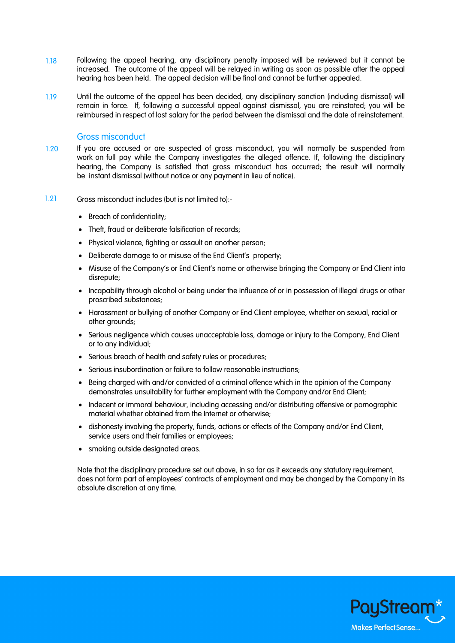- 1.18 Following the appeal hearing, any disciplinary penalty imposed will be reviewed but it cannot be increased. The outcome of the appeal will be relayed in writing as soon as possible after the appeal hearing has been held. The appeal decision will be final and cannot be further appealed.
- 1.19 Until the outcome of the appeal has been decided, any disciplinary sanction (including dismissal) will remain in force. If, following a successful appeal against dismissal, you are reinstated; you will be reimbursed in respect of lost salary for the period between the dismissal and the date of reinstatement.

#### Gross misconduct

- 1.20 If you are accused or are suspected of gross misconduct, you will normally be suspended from work on full pay while the Company investigates the alleged offence. If, following the disciplinary hearing, the Company is satisfied that gross misconduct has occurred; the result will normally be instant dismissal (without notice or any payment in lieu of notice).
- 1.21 Gross misconduct includes (but is not limited to):-
	- Breach of confidentiality;
	- Theft, fraud or deliberate falsification of records;
	- Physical violence, fighting or assault on another person;
	- Deliberate damage to or misuse of the End Client's property;
	- Misuse of the Company's or End Client's name or otherwise bringing the Company or End Client into disrepute;
	- Incapability through alcohol or being under the influence of or in possession of illegal drugs or other proscribed substances;
	- Harassment or bullying of another Company or End Client employee, whether on sexual, racial or other grounds;
	- Serious negligence which causes unacceptable loss, damage or injury to the Company, End Client or to any individual;
	- Serious breach of health and safety rules or procedures;
	- Serious insubordination or failure to follow reasonable instructions;
	- Being charged with and/or convicted of a criminal offence which in the opinion of the Company demonstrates unsuitability for further employment with the Company and/or End Client;
	- Indecent or immoral behaviour, including accessing and/or distributing offensive or pornographic material whether obtained from the Internet or otherwise;
	- dishonesty involving the property, funds, actions or effects of the Company and/or End Client, service users and their families or employees;
	- smoking outside designated areas.

Note that the disciplinary procedure set out above, in so far as it exceeds any statutory requirement, does not form part of employees' contracts of employment and may be changed by the Company in its absolute discretion at any time.

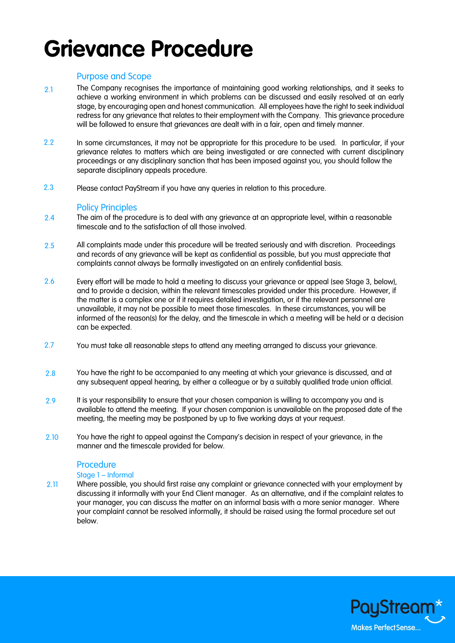# **Grievance Procedure**

# Purpose and Scope

- 2.1 The Company recognises the importance of maintaining good working relationships, and it seeks to achieve a working environment in which problems can be discussed and easily resolved at an early stage, by encouraging open and honest communication. All employees have the right to seek individual redress for any grievance that relates to their employment with the Company. This grievance procedure will be followed to ensure that grievances are dealt with in a fair, open and timely manner.
- 2.2 In some circumstances, it may not be appropriate for this procedure to be used. In particular, if your grievance relates to matters which are being investigated or are connected with current disciplinary proceedings or any disciplinary sanction that has been imposed against you, you should follow the separate disciplinary appeals procedure.
- Please contact PayStream if you have any queries in relation to this procedure. 2.3

## Policy Principles

- The aim of the procedure is to deal with any grievance at an appropriate level, within a reasonable timescale and to the satisfaction of all those involved. 2.4
- All complaints made under this procedure will be treated seriously and with discretion. Proceedings and records of any grievance will be kept as confidential as possible, but you must appreciate that complaints cannot always be formally investigated on an entirely confidential basis. 2.5
- Every effort will be made to hold a meeting to discuss your grievance or appeal (see Stage 3, below), and to provide a decision, within the relevant timescales provided under this procedure. However, if the matter is a complex one or if it requires detailed investigation, or if the relevant personnel are unavailable, it may not be possible to meet those timescales. In these circumstances, you will be informed of the reason(s) for the delay, and the timescale in which a meeting will be held or a decision can be expected. 2.6
- You must take all reasonable steps to attend any meeting arranged to discuss your grievance. 2.7
- You have the right to be accompanied to any meeting at which your grievance is discussed, and at any subsequent appeal hearing, by either a colleague or by a suitably qualified trade union official. 2.8
- It is your responsibility to ensure that your chosen companion is willing to accompany you and is available to attend the meeting. If your chosen companion is unavailable on the proposed date of the meeting, the meeting may be postponed by up to five working days at your request. 2.9
- You have the right to appeal against the Company's decision in respect of your grievance, in the manner and the timescale provided for below. 2.10

## Procedure

## Stage 1 – Informal

Where possible, you should first raise any complaint or grievance connected with your employment by discussing it informally with your End Client manager. As an alternative, and if the complaint relates to your manager, you can discuss the matter on an informal basis with a more senior manager. Where your complaint cannot be resolved informally, it should be raised using the formal procedure set out below. 2.11